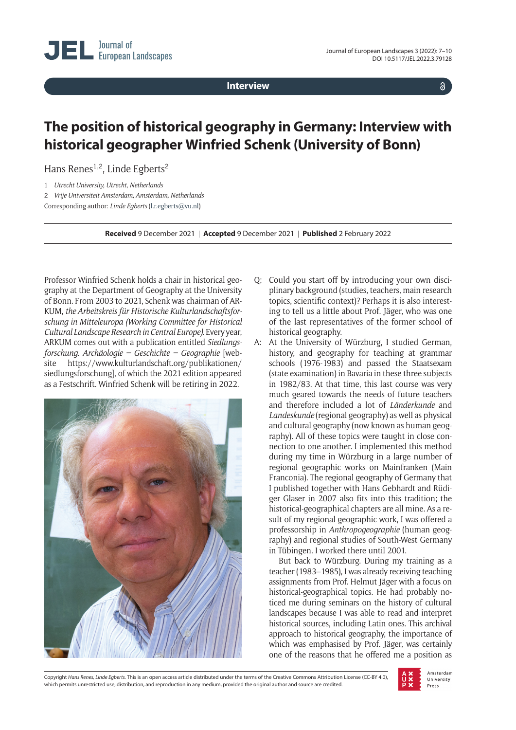**Interview**

 $\delta$ 

## **The position of historical geography in Germany: Interview with historical geographer Winfried Schenk (University of Bonn)**

Hans Renes<sup>1,2</sup>, Linde Egberts<sup>2</sup>

1 *Utrecht University, Utrecht, Netherlands*

2 *Vrije Universiteit Amsterdam, Amsterdam, Netherlands*

Corresponding author: *Linde Egberts* ([l.r.egberts@vu.nl](mailto:l.r.egberts@vu.nl))

**Received** 9 December 2021 | **Accepted** 9 December 2021 | **Published** 2 February 2022

Professor Winfried Schenk holds a chair in historical geography at the Department of Geography at the University of Bonn. From 2003 to 2021, Schenk was chairman of AR-KUM, *the Arbeitskreis für Historische Kulturlandschaftsforschung in Mitteleuropa (Working Committee for Historical Cultural Landscape Research in Central Europe)*. Every year, ARKUM comes out with a publication entitled *Siedlungsforschung. Archäologie – Geschichte – Geographie* [website [https://www.kulturlandschaft.org/publikationen/](https://www.kulturlandschaft.org/publikationen/siedlungsforschung) [siedlungsforschung](https://www.kulturlandschaft.org/publikationen/siedlungsforschung)], of which the 2021 edition appeared as a Festschrift. Winfried Schenk will be retiring in 2022.



- Q: Could you start off by introducing your own disciplinary background (studies, teachers, main research topics, scientific context)? Perhaps it is also interesting to tell us a little about Prof. Jäger, who was one of the last representatives of the former school of historical geography.
- A: At the University of Würzburg, I studied German, history, and geography for teaching at grammar schools (1976-1983) and passed the Staatsexam (state examination) in Bavaria in these three subjects in 1982/83. At that time, this last course was very much geared towards the needs of future teachers and therefore included a lot of *Länderkunde* and *Landeskunde* (regional geography) as well as physical and cultural geography (now known as human geography). All of these topics were taught in close connection to one another. I implemented this method during my time in Würzburg in a large number of regional geographic works on Mainfranken (Main Franconia). The regional geography of Germany that I published together with Hans Gebhardt and Rüdiger Glaser in 2007 also fits into this tradition; the historical-geographical chapters are all mine. As a result of my regional geographic work, I was offered a professorship in *Anthropogeographie* (human geography) and regional studies of South-West Germany in Tübingen. I worked there until 2001.

But back to Würzburg. During my training as a teacher (1983–1985), I was already receiving teaching assignments from Prof. Helmut Jäger with a focus on historical-geographical topics. He had probably noticed me during seminars on the history of cultural landscapes because I was able to read and interpret historical sources, including Latin ones. This archival approach to historical geography, the importance of which was emphasised by Prof. Jäger, was certainly one of the reasons that he offered me a position as

Copyright *Hans Renes, Linde Egberts.* This is an open access article distributed under the terms of the Creative Commons Attribution License (CC-BY 4.0), which permits unrestricted use, distribution, and reproduction in any medium, provided the original author and source are credited.

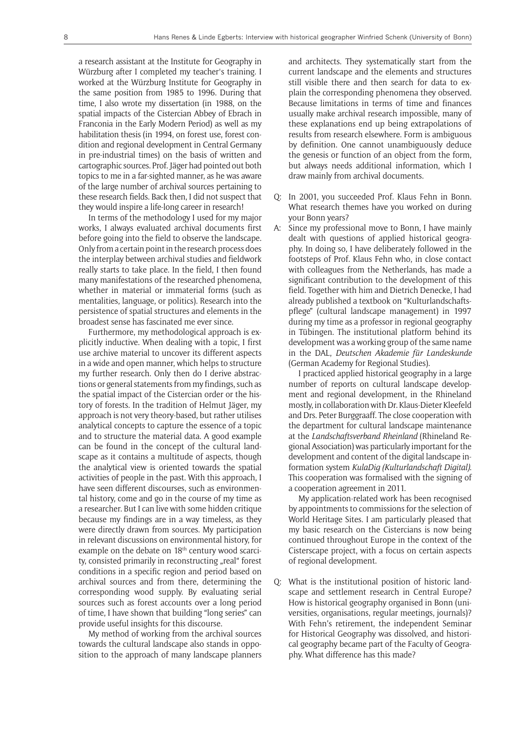a research assistant at the Institute for Geography in Würzburg after I completed my teacher's training. I worked at the Würzburg Institute for Geography in the same position from 1985 to 1996. During that time, I also wrote my dissertation (in 1988, on the spatial impacts of the Cistercian Abbey of Ebrach in Franconia in the Early Modern Period) as well as my habilitation thesis (in 1994, on forest use, forest condition and regional development in Central Germany in pre-industrial times) on the basis of written and cartographic sources. Prof. Jäger had pointed out both topics to me in a far-sighted manner, as he was aware of the large number of archival sources pertaining to these research fields. Back then, I did not suspect that they would inspire a life-long career in research!

In terms of the methodology I used for my major works, I always evaluated archival documents first before going into the field to observe the landscape. Only from a certain point in the research process does the interplay between archival studies and fieldwork really starts to take place. In the field, I then found many manifestations of the researched phenomena, whether in material or immaterial forms (such as mentalities, language, or politics). Research into the persistence of spatial structures and elements in the broadest sense has fascinated me ever since.

Furthermore, my methodological approach is explicitly inductive. When dealing with a topic, I first use archive material to uncover its different aspects in a wide and open manner, which helps to structure my further research. Only then do I derive abstractions or general statements from my findings, such as the spatial impact of the Cistercian order or the history of forests. In the tradition of Helmut Jäger, my approach is not very theory-based, but rather utilises analytical concepts to capture the essence of a topic and to structure the material data. A good example can be found in the concept of the cultural landscape as it contains a multitude of aspects, though the analytical view is oriented towards the spatial activities of people in the past. With this approach, I have seen different discourses, such as environmental history, come and go in the course of my time as a researcher. But I can live with some hidden critique because my findings are in a way timeless, as they were directly drawn from sources. My participation in relevant discussions on environmental history, for example on the debate on 18<sup>th</sup> century wood scarcity, consisted primarily in reconstructing "real" forest conditions in a specific region and period based on archival sources and from there, determining the corresponding wood supply. By evaluating serial sources such as forest accounts over a long period of time, I have shown that building "long series" can provide useful insights for this discourse.

My method of working from the archival sources towards the cultural landscape also stands in opposition to the approach of many landscape planners

and architects. They systematically start from the current landscape and the elements and structures still visible there and then search for data to explain the corresponding phenomena they observed. Because limitations in terms of time and finances usually make archival research impossible, many of these explanations end up being extrapolations of results from research elsewhere. Form is ambiguous by definition. One cannot unambiguously deduce the genesis or function of an object from the form, but always needs additional information, which I draw mainly from archival documents.

- Q: In 2001, you succeeded Prof. Klaus Fehn in Bonn. What research themes have you worked on during your Bonn years?
- A: Since my professional move to Bonn, I have mainly dealt with questions of applied historical geography. In doing so, I have deliberately followed in the footsteps of Prof. Klaus Fehn who, in close contact with colleagues from the Netherlands, has made a significant contribution to the development of this field. Together with him and Dietrich Denecke, I had already published a textbook on "Kulturlandschaftspflege" (cultural landscape management) in 1997 during my time as a professor in regional geography in Tübingen. The institutional platform behind its development was a working group of the same name in the DAL, *Deutschen Akademie für Landeskunde* (German Academy for Regional Studies).

I practiced applied historical geography in a large number of reports on cultural landscape development and regional development, in the Rhineland mostly, in collaboration with Dr. Klaus-Dieter Kleefeld and Drs. Peter Burggraaff. The close cooperation with the department for cultural landscape maintenance at the *Landschaftsverband Rheinland* (Rhineland Regional Association) was particularly important for the development and content of the digital landscape information system *KulaDig (Kulturlandschaft Digital)*. This cooperation was formalised with the signing of a cooperation agreement in 2011.

My application-related work has been recognised by appointments to commissions for the selection of World Heritage Sites. I am particularly pleased that my basic research on the Cistercians is now being continued throughout Europe in the context of the Cisterscape project, with a focus on certain aspects of regional development.

Q: What is the institutional position of historic landscape and settlement research in Central Europe? How is historical geography organised in Bonn (universities, organisations, regular meetings, journals)? With Fehn's retirement, the independent Seminar for Historical Geography was dissolved, and historical geography became part of the Faculty of Geography. What difference has this made?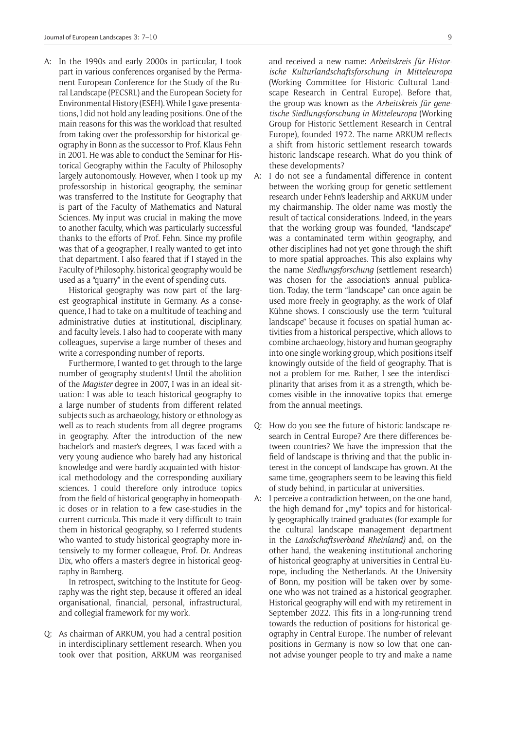A: In the 1990s and early 2000s in particular, I took part in various conferences organised by the Permanent European Conference for the Study of the Rural Landscape (PECSRL) and the European Society for Environmental History (ESEH). While I gave presentations, I did not hold any leading positions. One of the main reasons for this was the workload that resulted from taking over the professorship for historical geography in Bonn as the successor to Prof. Klaus Fehn in 2001. He was able to conduct the Seminar for Historical Geography within the Faculty of Philosophy largely autonomously. However, when I took up my professorship in historical geography, the seminar was transferred to the Institute for Geography that is part of the Faculty of Mathematics and Natural Sciences. My input was crucial in making the move to another faculty, which was particularly successful thanks to the efforts of Prof. Fehn. Since my profile was that of a geographer, I really wanted to get into that department. I also feared that if I stayed in the Faculty of Philosophy, historical geography would be used as a "quarry" in the event of spending cuts.

Historical geography was now part of the largest geographical institute in Germany. As a consequence, I had to take on a multitude of teaching and administrative duties at institutional, disciplinary, and faculty levels. I also had to cooperate with many colleagues, supervise a large number of theses and write a corresponding number of reports.

Furthermore, I wanted to get through to the large number of geography students! Until the abolition of the *Magister* degree in 2007, I was in an ideal situation: I was able to teach historical geography to a large number of students from different related subjects such as archaeology, history or ethnology as well as to reach students from all degree programs in geography. After the introduction of the new bachelor's and master's degrees, I was faced with a very young audience who barely had any historical knowledge and were hardly acquainted with historical methodology and the corresponding auxiliary sciences. I could therefore only introduce topics from the field of historical geography in homeopathic doses or in relation to a few case-studies in the current curricula. This made it very difficult to train them in historical geography, so I referred students who wanted to study historical geography more intensively to my former colleague, Prof. Dr. Andreas Dix, who offers a master's degree in historical geography in Bamberg.

In retrospect, switching to the Institute for Geography was the right step, because it offered an ideal organisational, financial, personal, infrastructural, and collegial framework for my work.

Q: As chairman of ARKUM, you had a central position in interdisciplinary settlement research. When you took over that position, ARKUM was reorganised

and received a new name: *Arbeitskreis für Historische Kulturlandschaftsforschung in Mitteleuropa*  (Working Committee for Historic Cultural Landscape Research in Central Europe). Before that, the group was known as the *Arbeitskreis für genetische Siedlungsforschung in Mitteleuropa* (Working Group for Historic Settlement Research in Central Europe), founded 1972. The name ARKUM reflects a shift from historic settlement research towards historic landscape research. What do you think of these developments?

- A: I do not see a fundamental difference in content between the working group for genetic settlement research under Fehn's leadership and ARKUM under my chairmanship. The older name was mostly the result of tactical considerations. Indeed, in the years that the working group was founded, "landscape" was a contaminated term within geography, and other disciplines had not yet gone through the shift to more spatial approaches. This also explains why the name *Siedlungsforschung* (settlement research) was chosen for the association's annual publication. Today, the term "landscape" can once again be used more freely in geography, as the work of Olaf Kühne shows. I consciously use the term "cultural landscape" because it focuses on spatial human activities from a historical perspective, which allows to combine archaeology, history and human geography into one single working group, which positions itself knowingly outside of the field of geography. That is not a problem for me. Rather, I see the interdisciplinarity that arises from it as a strength, which becomes visible in the innovative topics that emerge from the annual meetings.
- Q: How do you see the future of historic landscape research in Central Europe? Are there differences between countries? We have the impression that the field of landscape is thriving and that the public interest in the concept of landscape has grown. At the same time, geographers seem to be leaving this field of study behind, in particular at universities.
- A: I perceive a contradiction between, on the one hand, the high demand for "my" topics and for historically-geographically trained graduates (for example for the cultural landscape management department in the *Landschaftsverband Rheinland)* and, on the other hand, the weakening institutional anchoring of historical geography at universities in Central Europe, including the Netherlands. At the University of Bonn, my position will be taken over by someone who was not trained as a historical geographer. Historical geography will end with my retirement in September 2022. This fits in a long-running trend towards the reduction of positions for historical geography in Central Europe. The number of relevant positions in Germany is now so low that one cannot advise younger people to try and make a name